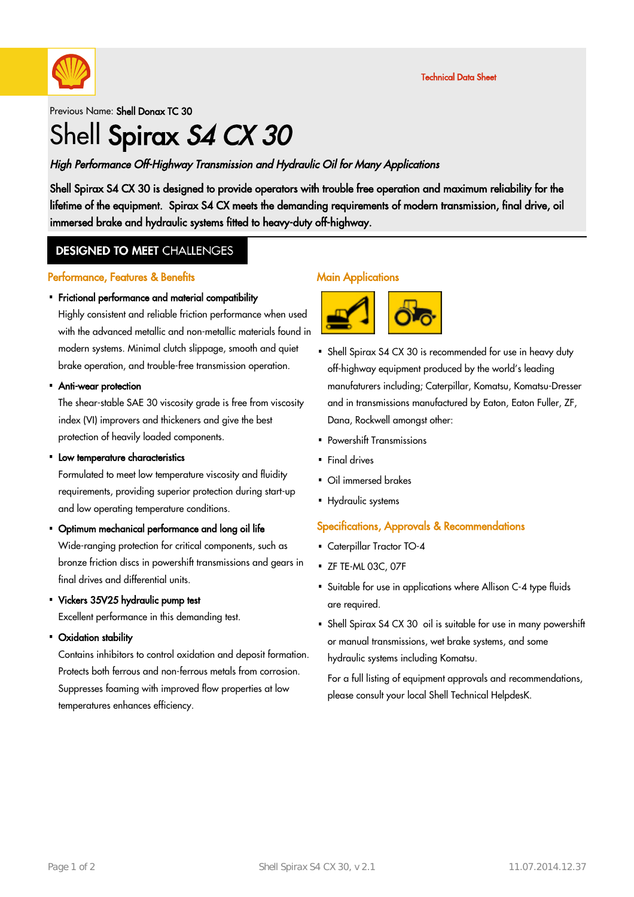

#### Previous Name: Shell Donax TC 30

# Shell Spirax S4 CX 30

### High Performance Off-Highway Transmission and Hydraulic Oil for Many Applications

Shell Spirax S4 CX 30 is designed to provide operators with trouble free operation and maximum reliability for the lifetime of the equipment. Spirax S4 CX meets the demanding requirements of modern transmission, final drive, oil immersed brake and hydraulic systems fitted to heavy-duty off-highway.

### **DESIGNED TO MEET CHALLENGES**

#### Performance, Features & Benefits

# Frictional performance and material compatibility ·

Highly consistent and reliable friction performance when used with the advanced metallic and non-metallic materials found in modern systems. Minimal clutch slippage, smooth and quiet brake operation, and trouble-free transmission operation.

# Anti-wear protection ·

The shear-stable SAE 30 viscosity grade is free from viscosity index (VI) improvers and thickeners and give the best protection of heavily loaded components.

# • Low temperature characteristics

Formulated to meet low temperature viscosity and fluidity requirements, providing superior protection during start-up and low operating temperature conditions.

Optimum mechanical performance and long oil life ·

Wide-ranging protection for critical components, such as bronze friction discs in powershift transmissions and gears in final drives and differential units.

Vickers 35V25 hydraulic pump test ·

Excellent performance in this demanding test.

Oxidation stability ·

Contains inhibitors to control oxidation and deposit formation. Protects both ferrous and non-ferrous metals from corrosion. Suppresses foaming with improved flow properties at low temperatures enhances efficiency.

#### **Main Applications**



- Shell Spirax S4 CX 30 is recommended for use in heavy duty off-highway equipment produced by the world's leading manufaturers including; Caterpillar, Komatsu, Komatsu-Dresser and in transmissions manufactured by Eaton, Eaton Fuller, ZF, Dana, Rockwell amongst other:
- Powershift Transmissions
- Final drives
- Oil immersed brakes
- Hydraulic systems

#### Specifications, Approvals & Recommendations

- Caterpillar Tractor TO-4
- ZF TE-ML 03C, 07F
- Suitable for use in applications where Allison C-4 type fluids · are required.
- Shell Spirax S4 CX 30  $\,$  oil is suitable for use in many powershift or manual transmissions, wet brake systems, and some hydraulic systems including Komatsu.

For a full listing of equipment approvals and recommendations, please consult your local Shell Technical HelpdesK.